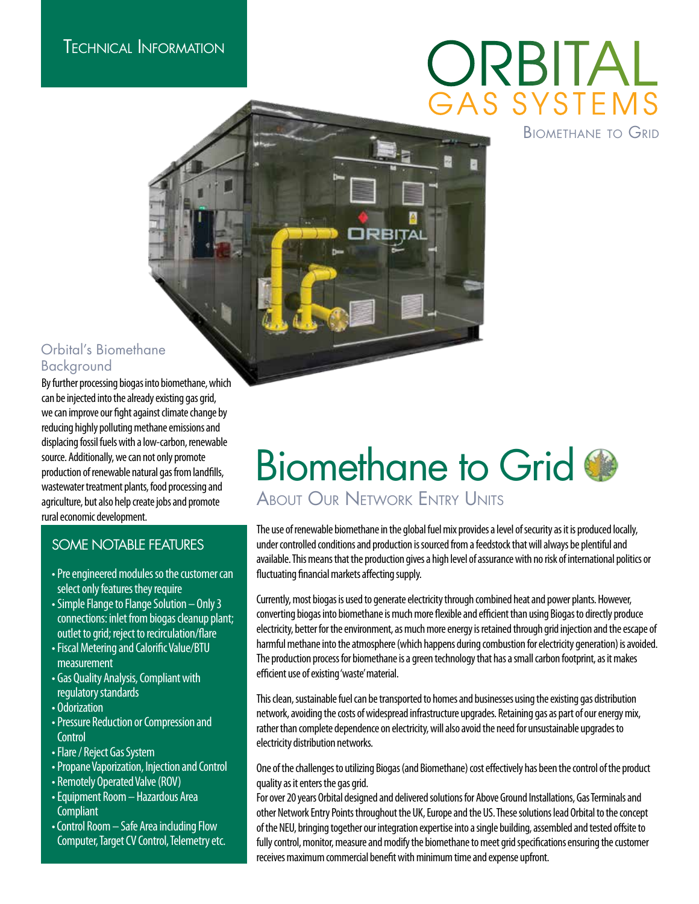# ORBITAL AS SYSTEMS

Biomethane to Grid

#### Orbital's Biomethane Background

By further processing biogas into biomethane, which can be injected into the already existing gas grid, we can improve our fight against climate change by reducing highly polluting methane emissions and displacing fossil fuels with a low-carbon, renewable source. Additionally, we can not only promote production of renewable natural gas from landfills, wastewater treatment plants, food processing and agriculture, but also help create jobs and promote rural economic development.

### SOME NOTABLE FEATURES

- •Pre engineered modules so the customer can select only features they require
- •Simple Flange to Flange Solution Only 3 connections: inlet from biogas cleanup plant; outlet to grid; reject to recirculation/flare
- •Fiscal Metering and Calorific Value/BTU measurement
- Gas Quality Analysis, Compliant with regulatory standards
- Odorization
- •Pressure Reduction or Compression and **Control**
- •Flare / Reject Gas System
- •Propane Vaporization, Injection and Control
- Remotely Operated Valve (ROV)
- •Equipment Room Hazardous Area **Compliant**
- Control Room Safe Area including Flow Computer, Target CV Control, Telemetry etc.

## Biomethane to Grid **ABOUT OUR NETWORK ENTRY UNITS**

The use of renewable biomethane in the global fuel mix provides a level of security as it is produced locally, under controlled conditions and production is sourced from a feedstock that will always be plentiful and available. This means that the production gives a high level of assurance with no risk of international politics or fluctuating financial markets affecting supply.

Currently, most biogas is used to generate electricity through combined heat and power plants. However, converting biogas into biomethane is much more flexible and efficient than using Biogas to directly produce electricity, better for the environment, as much more energy is retained through grid injection and the escape of harmful methane into the atmosphere (which happens during combustion for electricity generation) is avoided. The production process for biomethane is a green technology that has a small carbon footprint, as it makes efficient use of existing 'waste' material.

This clean, sustainable fuel can be transported to homes and businesses using the existing gas distribution network, avoiding the costs of widespread infrastructure upgrades. Retaining gas as part of our energy mix, rather than complete dependence on electricity, will also avoid the need for unsustainable upgrades to electricity distribution networks.

One of the challenges to utilizing Biogas (and Biomethane) cost effectively has been the control of the product quality as it enters the gas grid.

For over 20 years Orbital designed and delivered solutions for Above Ground Installations, Gas Terminals and other Network Entry Points throughout the UK, Europe and the US. These solutions lead Orbital to the concept of the NEU, bringing together our integration expertise into a single building, assembled and tested offsite to fully control, monitor, measure and modify the biomethane to meet grid specifications ensuring the customer receives maximum commercial benefit with minimum time and expense upfront.